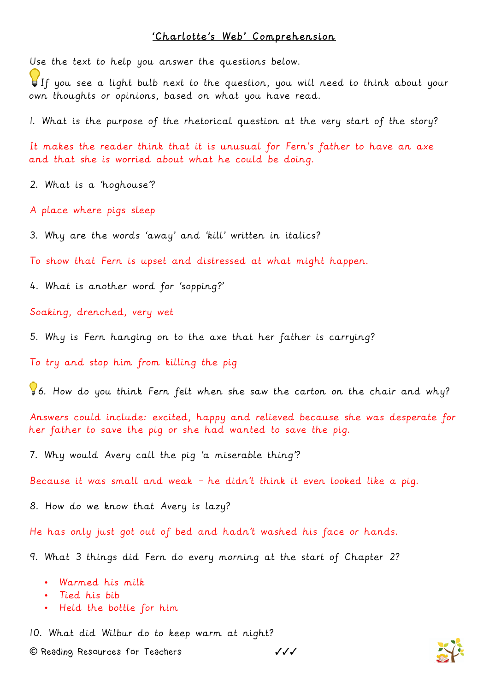## 'Charlotte's Web' Comprehension

Use the text to help you answer the questions below.

If you see a light bulb next to the question, you will need to think about your own thoughts or opinions, based on what you have read.

1. What is the purpose of the rhetorical question at the very start of the story?

It makes the reader think that it is unusual for Fern's father to have an axe and that she is worried about what he could be doing.

2. What is a 'hoghouse'?

A place where pigs sleep

3. Why are the words 'away' and 'kill' written in italics?

To show that Fern is upset and distressed at what might happen.

4. What is another word for 'sopping?'

Soaking, drenched, very wet

5. Why is Fern hanging on to the axe that her father is carrying?

To try and stop him from killing the pig

6. How do you think Fern felt when she saw the carton on the chair and why?

Answers could include: excited, happy and relieved because she was desperate for her father to save the pig or she had wanted to save the pig.

7. Why would Avery call the pig 'a miserable thing'?

Because it was small and weak – he didn't think it even looked like a pig.

8. How do we know that Avery is lazy?

He has only just got out of bed and hadn't washed his face or hands.

9. What 3 things did Fern do every morning at the start of Chapter 2?

- Warmed his milk
- Tied his bib
- Held the bottle for him

10. What did Wilbur do to keep warm at night?

**©** Reading Resources for Teachers ✓✓✓